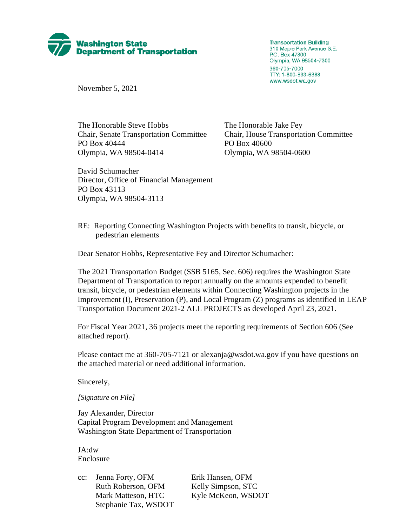

**Transportation Building** 310 Maple Park Avenue S.E. P.O. Box 47300 Olympia, WA 98504-7300 360-705-7000 TTY: 1-800-833-6388 www.wsdot.wa.gov

November 5, 2021

The Honorable Steve Hobbs The Honorable Jake Fey Chair, Senate Transportation Committee Chair, House Transportation Committee PO Box 40444 PO Box 40600 Olympia, WA 98504-0414 Olympia, WA 98504-0600

David Schumacher Director, Office of Financial Management PO Box 43113 Olympia, WA 98504-3113

RE: Reporting Connecting Washington Projects with benefits to transit, bicycle, or pedestrian elements

Dear Senator Hobbs, Representative Fey and Director Schumacher:

The 2021 Transportation Budget (SSB 5165, Sec. 606) requires the Washington State Department of Transportation to report annually on the amounts expended to benefit transit, bicycle, or pedestrian elements within Connecting Washington projects in the Improvement (I), Preservation (P), and Local Program (Z) programs as identified in LEAP Transportation Document 2021-2 ALL PROJECTS as developed April 23, 2021.

For Fiscal Year 2021, 36 projects meet the reporting requirements of Section 606 (See attached report).

Please contact me at 360-705-7121 or alexanja@wsdot.wa.gov if you have questions on the attached material or need additional information.

Sincerely,

*[Signature on File]*

Jay Alexander, Director Capital Program Development and Management Washington State Department of Transportation

JA:dw Enclosure

cc: Jenna Forty, OFM Erik Hansen, OFM Ruth Roberson, OFM Kelly Simpson, STC Stephanie Tax, WSDOT

Mark Matteson, HTC Kyle McKeon, WSDOT